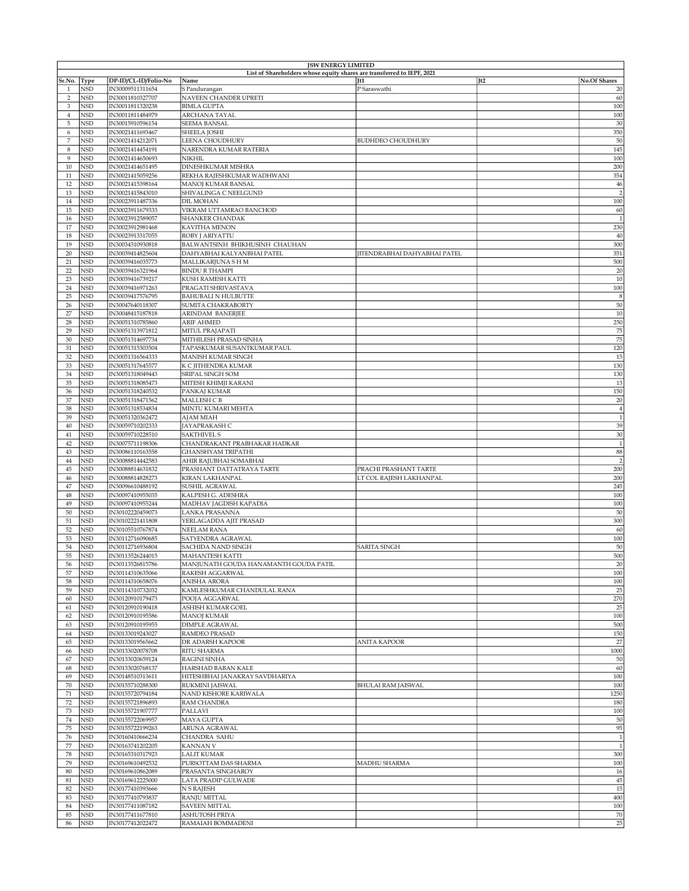|                     | <b>JSW ENERGY LIMITED</b> |                                      |                                                                                |                                     |     |                           |  |  |
|---------------------|---------------------------|--------------------------------------|--------------------------------------------------------------------------------|-------------------------------------|-----|---------------------------|--|--|
| Sr.No. Type         |                           | DP-ID/CL-ID/Folio-No                 | List of Shareholders whose equity shares are transferred to IEPF, 2021<br>Name | Tt1                                 | Jt2 | <b>No.Of Shares</b>       |  |  |
| 1                   | NSD                       | IN30009511311654                     | S Pandurangan                                                                  | P Saraswathi                        |     | 20                        |  |  |
| $\overline{2}$      | <b>NSD</b>                | IN30011810327707                     | <b>NAVEEN CHANDER UPRETI</b>                                                   |                                     |     | 60                        |  |  |
| 3                   | <b>NSD</b>                | IN30011811320238                     | <b>BIMLA GUPTA</b>                                                             |                                     |     | 100                       |  |  |
| $\,4\,$             | <b>NSD</b>                | IN30011811484979                     | ARCHANA TAYAL                                                                  |                                     |     | 100                       |  |  |
| 5                   | <b>NSD</b>                | IN30015910596154                     | <b>SEEMA BANSAL</b>                                                            |                                     |     | 30                        |  |  |
| 6<br>$\overline{7}$ | <b>NSD</b><br>NSD         | IN30021411693467<br>IN30021414212071 | <b>SHEELA JOSHI</b><br>LEENA CHOUDHURY                                         | <b>BUDHDEO CHOUDHURY</b>            |     | 350<br>50                 |  |  |
| $\,$ 8 $\,$         | <b>NSD</b>                | IN30021414454191                     | NARENDRA KUMAR RATERIA                                                         |                                     |     | 145                       |  |  |
| 9                   | NSD                       | IN30021414650693                     | <b>NIKHIL</b>                                                                  |                                     |     | 100                       |  |  |
| 10                  | <b>NSD</b>                | IN30021414651495                     | DINESHKUMAR MISHRA                                                             |                                     |     | 200                       |  |  |
| 11                  | <b>NSD</b>                | IN30021415059256                     | REKHA RAJESHKUMAR WADHWANI                                                     |                                     |     | 354                       |  |  |
| 12                  | <b>NSD</b>                | IN30021415398164                     | MANOJ KUMAR BANSAL                                                             |                                     |     | $46\,$                    |  |  |
| 13                  | <b>NSD</b>                | IN30021415843010                     | SHIVALINGA C NEELGUND                                                          |                                     |     | $\overline{2}$            |  |  |
| 14<br>15            | <b>NSD</b><br><b>NSD</b>  | IN30023911487336<br>IN30023911679333 | <b>DIL MOHAN</b><br>VIKRAM UTTAMRAO BANCHOD                                    |                                     |     | 100<br>60                 |  |  |
| 16                  | <b>NSD</b>                | IN30023912589057                     | <b>SHANKER CHANDAK</b>                                                         |                                     |     | $\mathbf{1}$              |  |  |
| 17                  | <b>NSD</b>                | IN30023912981468                     | KAVITHA MENON                                                                  |                                     |     | 230                       |  |  |
| 18                  | <b>NSD</b>                | IN30023913317055                     | ROBY J ARIYATTU                                                                |                                     |     | 40                        |  |  |
| 19                  | <b>NSD</b>                | IN30034310930818                     | BALWANTSINH BHIKHUSINH CHAUHAN                                                 |                                     |     | 300                       |  |  |
| 20                  | <b>NSD</b>                | IN30039414825604                     | DAHYABHAI KALYANBHAI PATEL                                                     | <b>JITENDRABHAI DAHYABHAI PATEL</b> |     | 351                       |  |  |
| 21                  | <b>NSD</b>                | IN30039416035773                     | MALLIKARJUNA SHM                                                               |                                     |     | 500                       |  |  |
| 22<br>23            | <b>NSD</b><br>NSD         | IN30039416321964<br>IN30039416739217 | <b>BINDU R THAMPI</b><br><b>KUSH RAMESH KATTI</b>                              |                                     |     | 20<br>10                  |  |  |
| 24                  | <b>NSD</b>                | IN30039416971263                     | PRAGATI SHRIVASTAVA                                                            |                                     |     | 100                       |  |  |
| 25                  | <b>NSD</b>                | IN30039417576795                     | <b>BAHUBALI N HULBUTTE</b>                                                     |                                     |     | $\boldsymbol{8}$          |  |  |
| 26                  | <b>NSD</b>                | IN30047640118307                     | <b>SUMITA CHAKRABORTY</b>                                                      |                                     |     | 50                        |  |  |
| 27                  | <b>NSD</b>                | IN30048415187818                     | <b>ARINDAM BANERJEE</b>                                                        |                                     |     | 10                        |  |  |
| 28                  | <b>NSD</b>                | IN30051310785860                     | <b>ARIF AHMED</b>                                                              |                                     |     | 250                       |  |  |
| 29                  | <b>NSD</b>                | IN30051313971812                     | MITUL PRAJAPATI                                                                |                                     |     | 75                        |  |  |
| 30                  | <b>NSD</b>                | IN30051314697734                     | MITHILESH PRASAD SINHA                                                         |                                     |     | 75                        |  |  |
| 31<br>32            | <b>NSD</b><br>NSD         | IN30051315303504<br>IN30051316564333 | TAPASKUMAR SUSANTKUMAR PAUL<br><b>MANISH KUMAR SINGH</b>                       |                                     |     | 120<br>15                 |  |  |
| 33                  | <b>NSD</b>                | IN30051317645577                     | K C JITHENDRA KUMAR                                                            |                                     |     | 130                       |  |  |
| 34                  | NSD                       | IN30051318049443                     | SRIPAL SINGH SOM                                                               |                                     |     | 130                       |  |  |
| 35                  | <b>NSD</b>                | IN30051318085473                     | MITESH KHIMJI KARANI                                                           |                                     |     | 13                        |  |  |
| 36                  | <b>NSD</b>                | IN30051318240532                     | PANKAJ KUMAR                                                                   |                                     |     | 150                       |  |  |
| 37                  | <b>NSD</b>                | IN30051318471562                     | MALLESH C B                                                                    |                                     |     | 20                        |  |  |
| 38                  | <b>NSD</b>                | IN30051318534834                     | MINTU KUMARI MEHTA                                                             |                                     |     | $\bf{4}$                  |  |  |
| 39                  | <b>NSD</b>                | IN30051320362472                     | AJAM MIAH                                                                      |                                     |     | $\,1\,$                   |  |  |
| 40<br>41            | <b>NSD</b><br><b>NSD</b>  | IN30059710202333<br>IN30059710228510 | JAYAPRAKASH C<br><b>SAKTHIVEL S</b>                                            |                                     |     | $39\,$<br>30 <sup>°</sup> |  |  |
| 42                  | <b>NSD</b>                | IN30075711198306                     | CHANDRAKANT PRABHAKAR HADKAR                                                   |                                     |     | $\,1\,$                   |  |  |
| 43                  | <b>NSD</b>                | IN30086110163558                     | <b>GHANSHYAM TRIPATHI</b>                                                      |                                     |     | $88\,$                    |  |  |
| 44                  | <b>NSD</b>                | IN30088814442583                     | AHIR RAJUBHAI SOMABHAI                                                         |                                     |     | $\overline{\mathbf{c}}$   |  |  |
| 45                  | <b>NSD</b>                | IN30088814631832                     | PRASHANT DATTATRAYA TARTE                                                      | PRACHI PRASHANT TARTE               |     | 200                       |  |  |
| 46                  | <b>NSD</b>                | IN30088814828273                     | <b>KIRAN LAKHANPAL</b>                                                         | LT COL RAJESH LAKHANPAL             |     | 200                       |  |  |
| 47                  | <b>NSD</b>                | IN30096610488192                     | SUSHIL AGRAWAL                                                                 |                                     |     | 245                       |  |  |
| 48<br>49            | NSD<br><b>NSD</b>         | IN30097410955035<br>IN30097410955244 | KALPESH G. ADESHRA<br>MADHAV JAGDISH KAPADIA                                   |                                     |     | 100<br>100                |  |  |
| 50                  | <b>NSD</b>                | IN30102220459073                     | <b>LANKA PRASANNA</b>                                                          |                                     |     | 50                        |  |  |
| 51                  | <b>NSD</b>                | IN30102221411808                     | YERLAGADDA AJIT PRASAD                                                         |                                     |     | 300                       |  |  |
| 52                  | <b>NSD</b>                | IN30105510767874                     | <b>NEELAM RANA</b>                                                             |                                     |     | 60                        |  |  |
| 53                  | <b>NSD</b>                | IN30112716090685                     | SATYENDRA AGRAWAL                                                              |                                     |     | 100                       |  |  |
| 54                  | <b>NSD</b>                | IN30112716936804                     | SACHIDA NAND SINGH                                                             | <b>SARITA SINGH</b>                 |     | 50                        |  |  |
| 55                  | <b>NSD</b>                | IN30113526244015                     | <b>MAHANTESH KATTI</b>                                                         |                                     |     | 500                       |  |  |
| 56                  | <b>NSD</b>                | IN30113526815786                     | MANJUNATH GOUDA HANAMANTH GOUDA PATIL                                          |                                     |     | 20                        |  |  |
| 57<br>58            | <b>NSD</b><br><b>NSD</b>  | IN30114310635066<br>IN30114310658076 | RAKESH AGGARWAL<br><b>ANISHA ARORA</b>                                         |                                     |     | 100<br>100                |  |  |
| 59                  | <b>NSD</b>                | IN30114310732032                     | KAMLESHKUMAR CHANDULAL RANA                                                    |                                     |     | 25                        |  |  |
| 60                  | <b>NSD</b>                | IN30120910179473                     | POOJA AGGARWAL                                                                 |                                     |     | 270                       |  |  |
| 61                  | <b>NSD</b>                | IN30120910190418                     | ASHISH KUMAR GOEL                                                              |                                     |     | 25                        |  |  |
| 62                  | <b>NSD</b>                | IN30120910195586                     | <b>MANOJ KUMAR</b>                                                             |                                     |     | 100                       |  |  |
| 63                  | <b>NSD</b>                | IN30120910195955                     | DIMPLE AGRAWAL                                                                 |                                     |     | 500                       |  |  |
| 64                  | <b>NSD</b>                | IN30133019243027                     | <b>RAMDEO PRASAD</b>                                                           |                                     |     | 150                       |  |  |
| 65<br>66            | <b>NSD</b><br>NSD         | IN30133019565662<br>IN30133020078708 | DR ADARSH KAPOOR<br>RITU SHARMA                                                | <b>ANITA KAPOOR</b>                 |     | 27<br>1000                |  |  |
| 67                  | <b>NSD</b>                | IN30133020659124                     | <b>RAGINI SINHA</b>                                                            |                                     |     | 50                        |  |  |
| 68                  | <b>NSD</b>                | IN30133020768137                     | HARSHAD BABAN KALE                                                             |                                     |     | 60                        |  |  |
| 69                  | <b>NSD</b>                | IN30148510313611                     | HITESHBHAI JANAKRAY SAVDHARIYA                                                 |                                     |     | 100                       |  |  |
| 70                  | <b>NSD</b>                | IN30155710288300                     | RUKMINI JAISWAL                                                                | <b>BHULAI RAM JAISWAL</b>           |     | 100                       |  |  |
| 71                  | <b>NSD</b>                | IN30155720794184                     | NAND KISHORE KARIWALA                                                          |                                     |     | 1250                      |  |  |
| 72                  | <b>NSD</b>                | IN30155721896893                     | RAM CHANDRA                                                                    |                                     |     | 180                       |  |  |
| 73<br>74            | <b>NSD</b><br><b>NSD</b>  | IN30155721907777<br>IN30155722069957 | PALLAVI<br>MAYA GUPTA                                                          |                                     |     | 100<br>50                 |  |  |
| 75                  | NSD                       | IN30155722199263                     | ARUNA AGRAWAL                                                                  |                                     |     | $95\,$                    |  |  |
| 76                  | <b>NSD</b>                | IN30160410666234                     | CHANDRA SAHU                                                                   |                                     |     | $\vert 1 \vert$           |  |  |
| 77                  | <b>NSD</b>                | IN30163741202205                     | <b>KANNAN V</b>                                                                |                                     |     | $\vert$ 1                 |  |  |
| 78                  | <b>NSD</b>                | IN30165310317923                     | <b>LALIT KUMAR</b>                                                             |                                     |     | 300                       |  |  |
| 79                  | <b>NSD</b>                | IN30169610492532                     | PURSOTTAM DAS SHARMA                                                           | MADHU SHARMA                        |     | 100                       |  |  |
| 80                  | <b>NSD</b>                | IN30169610862089                     | PRASANTA SINGHAROY                                                             |                                     |     | 16                        |  |  |
| 81                  | <b>NSD</b>                | IN30169612225000                     | LATA PRADIP GULWADE                                                            |                                     |     | 45                        |  |  |
| 82<br>83            | <b>NSD</b><br><b>NSD</b>  | IN30177410393666<br>IN30177410793837 | N S RAJESH<br>RANJU MITTAL                                                     |                                     |     | 15<br>400                 |  |  |
| 84                  | <b>NSD</b>                | IN30177411087182                     | <b>SAVEEN MITTAL</b>                                                           |                                     |     | 100                       |  |  |
| 85                  | <b>NSD</b>                | IN30177411677810                     | ASHUTOSH PRIYA                                                                 |                                     |     | 70                        |  |  |
| 86                  | <b>NSD</b>                | IN30177412022472                     | RAMAIAH BOMMADENI                                                              |                                     |     | 25                        |  |  |
|                     |                           |                                      |                                                                                |                                     |     |                           |  |  |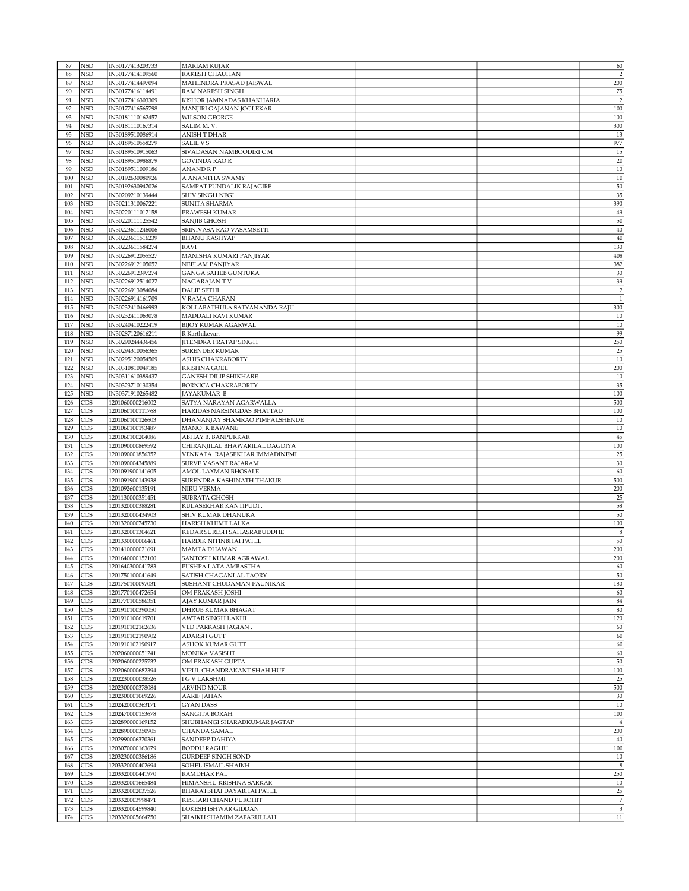| 87         | <b>NSD</b>               | IN30177413203733                     | <b>MARIAM KUJAR</b>            |  | 60             |
|------------|--------------------------|--------------------------------------|--------------------------------|--|----------------|
| 88         | <b>NSD</b>               | IN30177414109560                     | RAKESH CHAUHAN                 |  | $\vert$ 2      |
| 89         | <b>NSD</b>               | IN30177414497094                     | MAHENDRA PRASAD JAISWAL        |  | 200            |
| 90         | <b>NSD</b>               | IN30177416114491                     | RAM NARESH SINGH               |  | 75             |
| 91         | <b>NSD</b>               | IN30177416303309                     | KISHOR JAMNADAS KHAKHARIA      |  | $\overline{c}$ |
| 92         | <b>NSD</b>               | IN30177416565798                     | MANJIRI GAJANAN JOGLEKAR       |  | 100            |
| 93         | <b>NSD</b>               | IN30181110162457                     | WILSON GEORGE                  |  | 100            |
| 94         | NSD                      | IN30181110167314                     | SALIM M.V.                     |  | 300            |
| 95         | <b>NSD</b>               |                                      | <b>ANISH T DHAR</b>            |  | 13             |
|            |                          | IN30189510086914                     |                                |  |                |
| 96         | NSD                      | IN30189510558279                     | SALIL V S                      |  | 977            |
| 97         | <b>NSD</b>               | IN30189510915063                     | SIVADASAN NAMBOODIRI C M       |  | 15             |
| 98         | <b>NSD</b>               | IN30189510986879                     | <b>GOVINDA RAO R</b>           |  | 20             |
| 99         | <b>NSD</b>               | IN30189511009186                     | <b>ANAND R P</b>               |  | 10             |
| 100        | <b>NSD</b>               | IN30192630080926                     | A ANANTHA SWAMY                |  | 10             |
| 101        | <b>NSD</b>               | IN30192630947026                     | SAMPAT PUNDALIK RAJAGIRE       |  | 50             |
| 102        | <b>NSD</b>               | IN30209210139444                     | SHIV SINGH NEGI                |  | 35             |
| 103        | <b>NSD</b>               | IN30211310067221                     | SUNITA SHARMA                  |  | 390            |
| 104        | NSD                      | IN30220111017158                     | PRAWESH KUMAR                  |  | 49             |
| 105        | NSD                      | IN30220111125542                     | SANJIB GHOSH                   |  | 50             |
| 106        | <b>NSD</b>               | IN30223611246006                     | SRINIVASA RAO VASAMSETTI       |  | 40             |
| 107        | <b>NSD</b>               | IN30223611516239                     | <b>BHANU KASHYAP</b>           |  | 40             |
| 108        | <b>NSD</b>               | IN30223611584274                     | <b>RAVI</b>                    |  | 130            |
| 109        | <b>NSD</b>               | IN30226912055527                     | MANISHA KUMARI PANJIYAR        |  | 408            |
| 110        | NSD                      | IN30226912105052                     | NEELAM PANJIYAR                |  | 382            |
| 111        | <b>NSD</b>               | IN30226912397274                     | GANGA SAHEB GUNTUKA            |  | 30             |
|            |                          |                                      | NAGARAJAN TV                   |  | 39             |
| 112<br>113 | <b>NSD</b><br><b>NSD</b> | IN30226912514027<br>IN30226913084084 | <b>DALIP SETHI</b>             |  | $\overline{2}$ |
|            |                          |                                      |                                |  |                |
| 114        | <b>NSD</b>               | IN30226914161709                     | V RAMA CHARAN                  |  | $\mathbf{1}$   |
| 115        | <b>NSD</b>               | IN30232410466993                     | KOLLABATHULA SATYANANDA RAJU   |  | 300            |
| 116        | <b>NSD</b>               | IN30232411063078                     | MADDALI RAVI KUMAR             |  | 10             |
| 117        | <b>NSD</b>               | IN30240410222419                     | BIJOY KUMAR AGARWAL            |  | 10             |
| 118        | NSD                      | IN30287120616211                     | R Karthikeyan                  |  | 99             |
| 119        | NSD                      | IN30290244436456                     | <b>JITENDRA PRATAP SINGH</b>   |  | 250            |
| 120        | <b>NSD</b>               | IN30294310056365                     | <b>SURENDER KUMAR</b>          |  | 25             |
| 121        | <b>NSD</b>               | IN30295120054509                     | <b>ASHIS CHAKRABORTY</b>       |  | 10             |
| 122        | NSD                      | IN30310810049185                     | <b>KRISHNA GOEL</b>            |  | 200            |
| 123        | <b>NSD</b>               | IN30311610389437                     | <b>GANESH DILIP SHIKHARE</b>   |  | 10             |
| 124        | <b>NSD</b>               | IN30323710130354                     | <b>BORNICA CHAKRABORTY</b>     |  | 35             |
| 125        | <b>NSD</b>               | IN30371910265482                     | JAYAKUMAR B                    |  | 100            |
| 126        | CDS                      | 1201060000216002                     | SATYA NARAYAN AGARWALLA        |  | 500            |
| 127        | CDS                      | 1201060100111768                     | HARIDAS NARSINGDAS BHATTAD     |  | 100            |
| 128        | CDS                      | 1201060100126603                     | DHANANJAY SHAMRAO PIMPALSHENDE |  | 10             |
| 129        | CDS                      | 1201060100193487                     | MANOJ K BAWANE                 |  | 10             |
| 130        | CDS                      | 1201060100204086                     | ABHAY B. BANPURKAR             |  | $45\,$         |
|            | CDS                      |                                      |                                |  |                |
| 131        |                          | 1201090000869592                     | CHIRANJILAL BHAWARILAL DAGDIYA |  | 100            |
| 132        | CDS                      | 1201090001856352                     | VENKATA RAJASEKHAR IMMADINEMI. |  | 25             |
| 133        | CDS                      | 1201090004345889                     | SURVE VASANT RAJARAM           |  | 30             |
| 134        | CDS                      | 1201091900141605                     | AMOL LAXMAN BHOSALE            |  | 60             |
| 135        | CDS                      | 1201091900143938                     | SURENDRA KASHINATH THAKUR      |  | 500            |
| 136        | CDS                      | 1201092600135191                     | NIRU VERMA                     |  | 200            |
| 137        | <b>CDS</b>               | 1201130000351451                     | <b>SUBRATA GHOSH</b>           |  | 25             |
| 138        | CDS                      | 1201320000388281                     | KULASEKHAR KANTIPUDI.          |  | 58             |
| 139        | CDS                      | 1201320000434903                     | SHIV KUMAR DHANUKA             |  | 50             |
| 140        | CDS                      | 1201320000745730                     | HARISH KHIMJI LALKA            |  | 100            |
| 141        | CDS                      | 1201320001304621                     | KEDAR SURESH SAHASRABUDDHE     |  | $\,$ 8 $\,$    |
| 142        | CDS                      | 1201330000006461                     | HARDIK NITINBHAI PATEL         |  | 50             |
| 143        | CDS                      | 1201410000021691                     | MAMTA DHAWAN                   |  | 200            |
| 144        | CDS                      | 1201640000152100                     | SANTOSH KUMAR AGRAWAL          |  | 200            |
| 145        | <b>CDS</b>               | 1201640300041783                     | PUSHPA LATA AMBASTHA           |  | 60             |
| 146        | CDS                      | 1201750100041649                     | SATISH CHAGANLAL TAORY         |  | 50             |
| 147        | CDS                      | 1201750100097031                     | SUSHANT CHUDAMAN PAUNIKAR      |  | 180            |
| 148        | CDS                      | 1201770100472654                     | OM PRAKASH JOSHI               |  | 60             |
| 149        | CDS                      | 1201770100586351                     | AJAY KUMAR JAIN                |  | 84             |
|            | CDS                      | 1201910100390050                     | DHRUB KUMAR BHAGAT             |  |                |
| 150        |                          |                                      |                                |  | 80             |
| 151        | CDS                      | 1201910100619701                     | AWTAR SINGH LAKHI              |  | 120            |
| 152        | CDS                      | 1201910102162636                     | VED PARKASH JAGIAN.            |  | 60             |
| 153        | CDS                      | 1201910102190902                     | <b>ADARSH GUTT</b>             |  | 60             |
| 154        | CDS                      | 1201910102190917                     | ASHOK KUMAR GUTT               |  | 60             |
| 155        | CDS                      | 1202060000051241                     | MONIKA VASISHT                 |  | 60             |
| 156        | CDS                      | 1202060000225732                     | OM PRAKASH GUPTA               |  | 50             |
| 157        | CDS                      | 1202060000682394                     | VIPUL CHANDRAKANT SHAH HUF     |  | 100            |
| 158        | CDS                      | 1202230000038526                     | I G V LAKSHMI                  |  | 25             |
| 159        | CDS                      | 1202300000378084                     | <b>ARVIND MOUR</b>             |  | 500            |
| 160        | CDS                      | 1202300001069226                     | <b>AARIF JAHAN</b>             |  | 30             |
| 161        | CDS                      | 1202420000363171                     | <b>GYAN DASS</b>               |  | 10             |
| 162        | <b>CDS</b>               | 1202470000153678                     | <b>SANGITA BORAH</b>           |  | 100            |
| 163        | CDS                      | 1202890000169152                     | SHUBHANGI SHARADKUMAR JAGTAP   |  | $\overline{4}$ |
| 164        | CDS                      | 1202890000350905                     | CHANDA SAMAL                   |  | 200            |
| 165        | CDS                      | 1202990006370361                     | SANDEEP DAHIYA                 |  | 40             |
| 166        | CDS                      | 1203070000163679                     | <b>BODDU RAGHU</b>             |  | 100            |
| 167        | CDS                      | 1203230000386186                     | GURDEEP SINGH SOND             |  | 10             |
|            |                          |                                      |                                |  |                |
| 168        | CDS                      | 1203320000402694                     | SOHEL ISMAIL SHAIKH            |  | 8 <sup>1</sup> |
| 169        | CDS                      | 1203320000441970                     | RAMDHAR PAL                    |  | 250            |
| 170        | CDS                      | 1203320001665484                     | HIMANSHU KRISHNA SARKAR        |  | 10             |
| 171        | CDS                      | 1203320002037526                     | BHARATBHAI DAYABHAI PATEL      |  | 25             |
| 172        | CDS                      | 1203320003998471                     | KESHARI CHAND PUROHIT          |  | $\overline{7}$ |
| 173        | CDS                      | 1203320004599840                     | LOKESH ISHWAR GIDDAN           |  | $\lceil$       |
| 174        | CDS                      | 1203320005664750                     | SHAIKH SHAMIM ZAFARULLAH       |  | 11             |